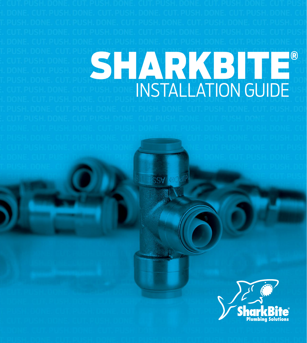# SHARKBITE® INSTALLATION GUIDE

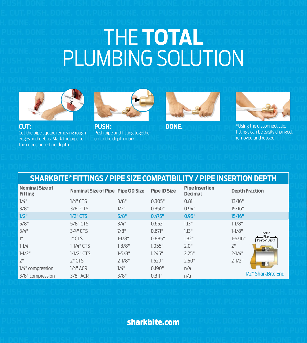# THE **TOTAL** PLUMBING SOLUTION



**CUT: DONE.** Cut the pipe square removing rough edges and debris. Mark the pipe to the correct insertion depth.



**PUSH:**  Push pipe and fitting together up to the depth mark.





\*Using the disconnect clip, fittings can be easily changed, removed and reused.

| SHARKBITE® FITTINGS / PIPE SIZE COMPATIBILITY / PIPE INSERTION DEPTH |                                   |            |                     |                                  |                                                |
|----------------------------------------------------------------------|-----------------------------------|------------|---------------------|----------------------------------|------------------------------------------------|
| Nominal Size of<br>Fitting                                           | Nominal Size of Pipe Pipe OD Size |            | <b>Pipe ID Size</b> | <b>Pipe Insertion</b><br>Decimal | <b>Depth Fraction</b>                          |
| 1/4"                                                                 | $1/4$ " CTS                       | 3/8"       | 0.305"              | 0.81"                            | 13/16"                                         |
| 3/8"                                                                 | $3/8"$ CTS                        | $1/2$ "    | 0.350"              | 0.94"                            | 15/16"                                         |
| 1/2"                                                                 | $1/2"$ CTS                        | 5/8"       | 0.475"              | 0.95"                            | 15/16"                                         |
| 5/8"                                                                 | $5/8"$ CTS                        | 3/4"       | 0.652"              | 1.13"                            | $1 - 1/8"$                                     |
| 3/4"                                                                 | $3/4$ " CTS                       | 7/8"       | 0.671"              | 1.13"                            | $1 - 1/8"$<br>15/16"                           |
| 1 <sup>n</sup>                                                       | $1"$ CTS                          | $1 - 1/8"$ | 0.885"              | 1.32"                            | $-$ Pipe $-$<br>$1 - 5/16"$<br>Insertion Depth |
| $1 - 1/4$ "                                                          | $1-1/4$ " CTS                     | $1 - 3/8"$ | 1.055"              | 2.0"                             | 2 <sup>11</sup><br>$= -2$                      |
| $1 - 1/2$ "                                                          | $1-1/2$ " CTS                     | $1 - 5/8"$ | 1.245"              | 2.25"                            | $2 - 1/4$ "                                    |
| 2 <sup>n</sup>                                                       | $2"$ CTS                          | $2 - 1/8"$ | 1.629"              | 2.50"                            | $2 - 1/2$ "                                    |
| 1/4" compression                                                     | $1/4"$ ACR                        | 1/4"       | 0.190"              | n/a                              | US-                                            |
| 3/8" compression                                                     | $3/8"$ ACR                        | 3/8"       | 0.311"              | n/a                              | 1/2" SharkBite End                             |

### sharkbite.com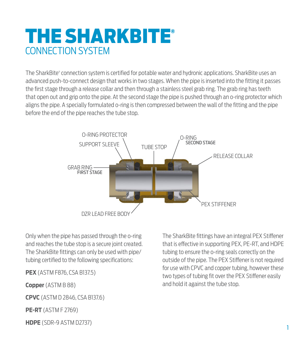# THE SHARKBITE® CONNECTION SYSTEM

The SharkBite® connection system is certified for potable water and hydronic applications. SharkBite uses an advanced push-to-connect design that works in two stages. When the pipe is inserted into the fitting it passes the first stage through a release collar and then through a stainless steel grab ring. The grab ring has teeth that open out and grip onto the pipe. At the second stage the pipe is pushed through an o-ring protector which aligns the pipe. A specially formulated o-ring is then compressed between the wall of the fitting and the pipe before the end of the pipe reaches the tube stop.



Only when the pipe has passed through the o-ring and reaches the tube stop is a secure joint created. The SharkBite fittings can only be used with pipe/ tubing certified to the following specifications:

**PEX** (ASTM F876, CSA B137.5)

**Copper** (ASTM B 88)

**CPVC** (ASTM D 2846, CSA B137.6)

**PE-RT** (ASTM F 2769)

**HDPE** (SDR-9 ASTM D2737)

The SharkBite fittings have an integral PEX Stiffener that is effective in supporting PEX, PE-RT, and HDPE tubing to ensure the o-ring seals correctly on the outside of the pipe. The PEX Stiffener is not required for use with CPVC and copper tubing, however these two types of tubing fit over the PEX Stiffener easily and hold it against the tube stop.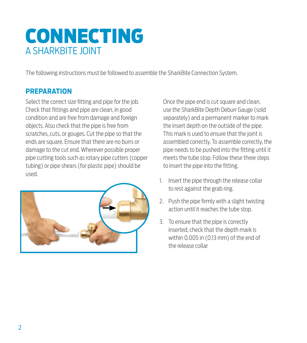# CONNECTING A SHARKBITE JOINT

The following instructions must be followed to assemble the SharkBite Connection System.

### **PREPARATION**

Select the correct size fitting and pipe for the job. Check that fittings and pipe are clean, in good condition and are free from damage and foreign objects. Also check that the pipe is free from scratches, cuts, or gouges. Cut the pipe so that the ends are square. Ensure that there are no burrs or damage to the cut end. Wherever possible proper pipe cutting tools such as rotary pipe cutters (copper tubing) or pipe shears (for plastic pipe) should be used.



Once the pipe end is cut square and clean. use the SharkBite Depth Deburr Gauge (sold separately) and a permanent marker to mark the insert depth on the outside of the pipe. This mark is used to ensure that the joint is assembled correctly. To assemble correctly, the pipe needs to be pushed into the fitting until it meets the tube stop. Follow these three steps to insert the pipe into the fitting.

- 1. Insert the pipe through the release collar to rest against the grab ring.
- 2. Push the pipe firmly with a slight twisting action until it reaches the tube stop.
- 3. To ensure that the pipe is correctly inserted, check that the depth mark is within 0.005 in (0.13 mm) of the end of the release collar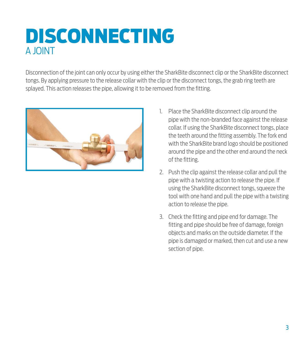# DISCONNECTING A JOINT

Disconnection of the joint can only occur by using either the SharkBite disconnect clip or the SharkBite disconnect tongs. By applying pressure to the release collar with the clip or the disconnect tongs, the grab ring teeth are splayed. This action releases the pipe, allowing it to be removed from the fitting.



- 1. Place the SharkBite disconnect clip around the pipe with the non-branded face against the release collar. If using the SharkBite disconnect tongs, place the teeth around the fitting assembly. The fork end with the SharkBite brand logo should be positioned around the pipe and the other end around the neck of the fitting.
- 2. Push the clip against the release collar and pull the pipe with a twisting action to release the pipe. If using the SharkBite disconnect tongs, squeeze the tool with one hand and pull the pipe with a twisting action to release the pipe.
- 3. Check the fitting and pipe end for damage. The fitting and pipe should be free of damage, foreign objects and marks on the outside diameter. If the pipe is damaged or marked, then cut and use a new section of pipe.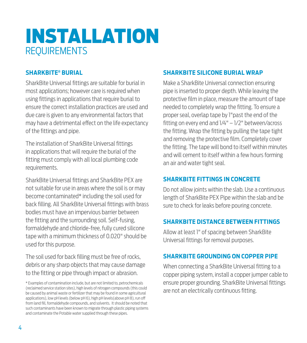# INSTALLATION **REQUIREMENTS**

### **SHARKBITE® BURIAL**

SharkBite Universal fittings are suitable for burial in most applications; however care is required when using fittings in applications that require burial to ensure the correct installation practices are used and due care is given to any environmental factors that may have a detrimental effect on the life expectancy of the fittings and pipe.

The installation of SharkBite Universal fittings in applications that will require the burial of the fitting must comply with all local plumbing code requirements.

SharkBite Universal fittings and SharkBite PEX are not suitable for use in areas where the soil is or may become contaminated\* including the soil used for back filling. All SharkBite Universal fittings with brass bodies must have an impervious barrier between the fitting and the surrounding soil. Self-fusing, formaldehyde and chloride-free, fully cured silicone tape with a minimum thickness of 0.020" should be used for this purpose.

The soil used for back filling must be free of rocks, debris or any sharp objects that may cause damage to the fitting or pipe through impact or abrasion.

### **SHARKBITE SILICONE BURIAL WRAP**

Make a SharkBite Universal connection ensuring pipe is inserted to proper depth. While leaving the protective film in place, measure the amount of tape needed to completely wrap the fitting. To ensure a proper seal, overlap tape by 1"past the end of the fitting on every end and 1/4" – 1/2" between/across the fitting. Wrap the fitting by pulling the tape tight and removing the protective film. Completely cover the fitting. The tape will bond to itself within minutes and will cement to itself within a few hours forming an air and water tight seal.

### **SHARKBITE FITTINGS IN CONCRETE**

Do not allow joints within the slab. Use a continuous length of SharkBite PEX Pipe within the slab and be sure to check for leaks before pouring concrete.

### **SHARKBITE DISTANCE BETWEEN FITTINGS**

Allow at least 1" of spacing between SharkBite Universal fittings for removal purposes.

### **SHARKBITE GROUNDING ON COPPER PIPE**

When connecting a SharkBite Universal fitting to a copper piping system, install a copper jumper cable to ensure proper grounding. SharkBite Universal fittings are not an electrically continuous fitting.

<sup>\*</sup> Examples of contamination include, but are not limited to, petrochemicals (reclaimed service station sites), high levels of nitrogen compounds (this could be caused by animal waste or fertilizer that may be found in some agricultural applications), low pH levels (below pH 6), high pH levels(above pH 8), run off from land fill, formaldehyde compounds, and solvents. It should be noted that such contaminants have been known to migrate through plastic piping systems and contaminate the Potable water supplied through these pipes.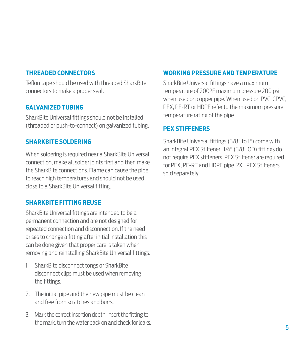### **THREADED CONNECTORS**

Teflon tape should be used with threaded SharkBite connectors to make a proper seal.

### **GALVANIZED TUBING**

SharkBite Universal fittings should not be installed (threaded or push-to-connect) on galvanized tubing.

### **SHARKBITE SOLDERING**

When soldering is required near a SharkBite Universal connection, make all solder joints first and then make the SharkBite connections. Flame can cause the pipe to reach high temperatures and should not be used close to a SharkBite Universal fitting.

### **SHARKBITE FITTING REUSE**

SharkBite Universal fittings are intended to be a permanent connection and are not designed for repeated connection and disconnection. If the need arises to change a fitting after initial installation this can be done given that proper care is taken when removing and reinstalling SharkBite Universal fittings.

- 1. SharkBite disconnect tongs or SharkBite disconnect clips must be used when removing the fittings.
- 2. The initial pipe and the new pipe must be clean and free from scratches and burrs.
- 3. Mark the correct insertion depth, insert the fitting to the mark, turn the water back on and check for leaks.

### **WORKING PRESSURE AND TEMPERATURE**

SharkBite Universal fittings have a maximum temperature of 200°F maximum pressure 200 psi when used on copper pipe. When used on PVC, CPVC, PEX, PE-RT or HDPE refer to the maximum pressure temperature rating of the pipe.

### **PEX STIFFENERS**

SharkBite Universal fittings (3/8" to 1") come with an Integral PEX Stiffener. 1/4" (3/8" OD) fittings do not require PEX stiffeners. PEX Stiffener are required for PEX, PE-RT and HDPE pipe. 2XL PEX Stiffeners sold separately.